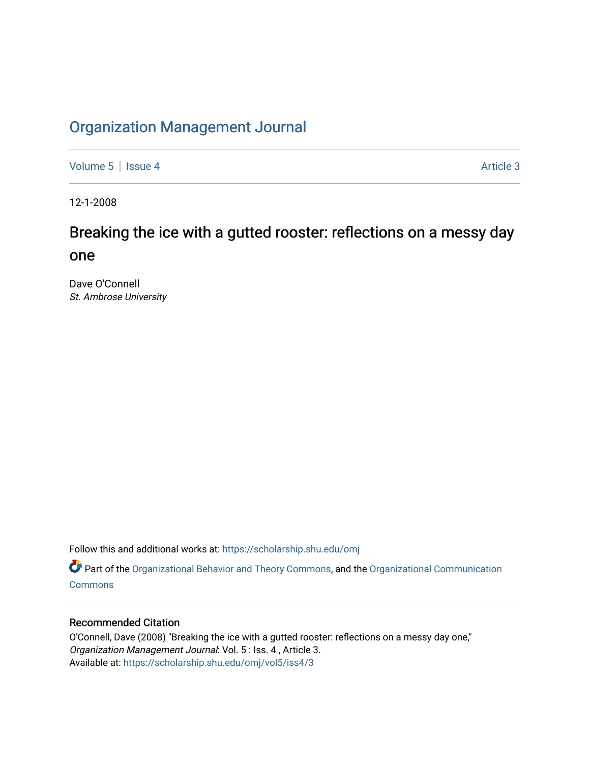# [Organization Management Journal](https://scholarship.shu.edu/omj)

[Volume 5](https://scholarship.shu.edu/omj/vol5) | [Issue 4](https://scholarship.shu.edu/omj/vol5/iss4) Article 3

12-1-2008

# Breaking the ice with a gutted rooster: reflections on a messy day one

Dave O'Connell St. Ambrose University

Follow this and additional works at: [https://scholarship.shu.edu/omj](https://scholarship.shu.edu/omj?utm_source=scholarship.shu.edu%2Fomj%2Fvol5%2Fiss4%2F3&utm_medium=PDF&utm_campaign=PDFCoverPages) 

Part of the [Organizational Behavior and Theory Commons,](http://network.bepress.com/hgg/discipline/639?utm_source=scholarship.shu.edu%2Fomj%2Fvol5%2Fiss4%2F3&utm_medium=PDF&utm_campaign=PDFCoverPages) and the [Organizational Communication](http://network.bepress.com/hgg/discipline/335?utm_source=scholarship.shu.edu%2Fomj%2Fvol5%2Fiss4%2F3&utm_medium=PDF&utm_campaign=PDFCoverPages) **[Commons](http://network.bepress.com/hgg/discipline/335?utm_source=scholarship.shu.edu%2Fomj%2Fvol5%2Fiss4%2F3&utm_medium=PDF&utm_campaign=PDFCoverPages)** 

## Recommended Citation

O'Connell, Dave (2008) "Breaking the ice with a gutted rooster: reflections on a messy day one," Organization Management Journal: Vol. 5 : Iss. 4 , Article 3. Available at: [https://scholarship.shu.edu/omj/vol5/iss4/3](https://scholarship.shu.edu/omj/vol5/iss4/3?utm_source=scholarship.shu.edu%2Fomj%2Fvol5%2Fiss4%2F3&utm_medium=PDF&utm_campaign=PDFCoverPages)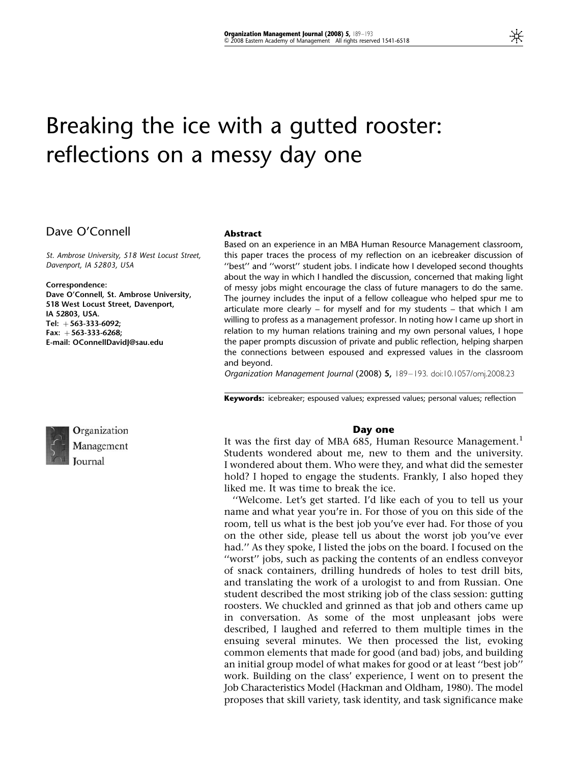Breaking the ice with a gutted rooster: reflections on a messy day one

# Dave O'Connell

St. Ambrose University, 518 West Locust Street, Davenport, IA 52803, USA

#### Correspondence:

Dave O'Connell, St. Ambrose University, 518 West Locust Street, Davenport, IA 52803, USA. Tel:  $+563-333-6092$ ; Fax:  $+563-333-6268$ ; E-mail: OConnellDavidJ@sau.edu

## Abstract

Based on an experience in an MBA Human Resource Management classroom, this paper traces the process of my reflection on an icebreaker discussion of ''best'' and ''worst'' student jobs. I indicate how I developed second thoughts about the way in which I handled the discussion, concerned that making light of messy jobs might encourage the class of future managers to do the same. The journey includes the input of a fellow colleague who helped spur me to articulate more clearly – for myself and for my students – that which I am willing to profess as a management professor. In noting how I came up short in relation to my human relations training and my own personal values, I hope the paper prompts discussion of private and public reflection, helping sharpen the connections between espoused and expressed values in the classroom and beyond.

Organization Management Journal (2008) 5, 189–193. doi:10.1057/omj.2008.23

Keywords: icebreaker; espoused values; expressed values; personal values; reflection

## Day one

It was the first day of MBA 685, Human Resource Management.<sup>1</sup> Students wondered about me, new to them and the university. I wondered about them. Who were they, and what did the semester hold? I hoped to engage the students. Frankly, I also hoped they liked me. It was time to break the ice.

''Welcome. Let's get started. I'd like each of you to tell us your name and what year you're in. For those of you on this side of the room, tell us what is the best job you've ever had. For those of you on the other side, please tell us about the worst job you've ever had.'' As they spoke, I listed the jobs on the board. I focused on the ''worst'' jobs, such as packing the contents of an endless conveyor of snack containers, drilling hundreds of holes to test drill bits, and translating the work of a urologist to and from Russian. One student described the most striking job of the class session: gutting roosters. We chuckled and grinned as that job and others came up in conversation. As some of the most unpleasant jobs were described, I laughed and referred to them multiple times in the ensuing several minutes. We then processed the list, evoking common elements that made for good (and bad) jobs, and building an initial group model of what makes for good or at least ''best job'' work. Building on the class' experience, I went on to present the Job Characteristics Model (Hackman and Oldham, 1980). The model proposes that skill variety, task identity, and task significance make



Organization Management Journal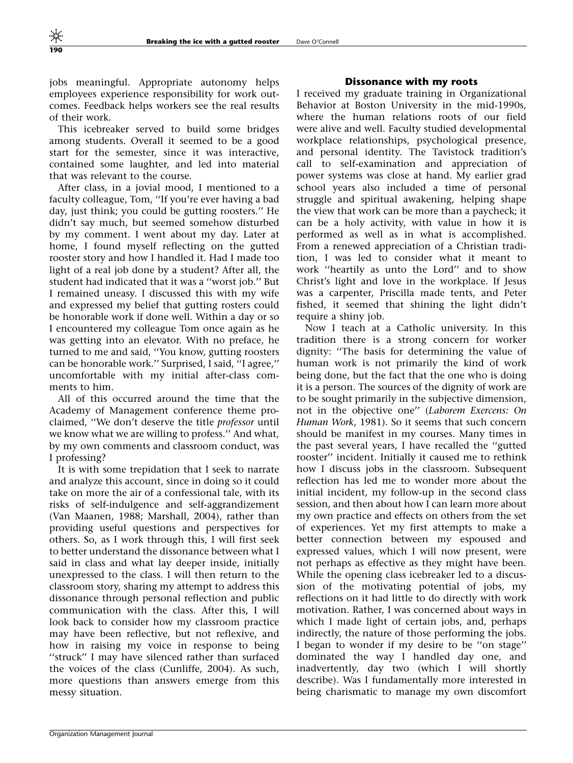jobs meaningful. Appropriate autonomy helps employees experience responsibility for work outcomes. Feedback helps workers see the real results of their work.

This icebreaker served to build some bridges among students. Overall it seemed to be a good start for the semester, since it was interactive, contained some laughter, and led into material that was relevant to the course.

After class, in a jovial mood, I mentioned to a faculty colleague, Tom, ''If you're ever having a bad day, just think; you could be gutting roosters.'' He didn't say much, but seemed somehow disturbed by my comment. I went about my day. Later at home, I found myself reflecting on the gutted rooster story and how I handled it. Had I made too light of a real job done by a student? After all, the student had indicated that it was a ''worst job.'' But I remained uneasy. I discussed this with my wife and expressed my belief that gutting rosters could be honorable work if done well. Within a day or so I encountered my colleague Tom once again as he was getting into an elevator. With no preface, he turned to me and said, ''You know, gutting roosters can be honorable work.'' Surprised, I said, ''I agree,'' uncomfortable with my initial after-class comments to him.

All of this occurred around the time that the Academy of Management conference theme proclaimed, ''We don't deserve the title professor until we know what we are willing to profess.'' And what, by my own comments and classroom conduct, was I professing?

It is with some trepidation that I seek to narrate and analyze this account, since in doing so it could take on more the air of a confessional tale, with its risks of self-indulgence and self-aggrandizement (Van Maanen, 1988; Marshall, 2004), rather than providing useful questions and perspectives for others. So, as I work through this, I will first seek to better understand the dissonance between what I said in class and what lay deeper inside, initially unexpressed to the class. I will then return to the classroom story, sharing my attempt to address this dissonance through personal reflection and public communication with the class. After this, I will look back to consider how my classroom practice may have been reflective, but not reflexive, and how in raising my voice in response to being ''struck'' I may have silenced rather than surfaced the voices of the class (Cunliffe, 2004). As such, more questions than answers emerge from this messy situation.

## Dissonance with my roots

I received my graduate training in Organizational Behavior at Boston University in the mid-1990s, where the human relations roots of our field were alive and well. Faculty studied developmental workplace relationships, psychological presence, and personal identity. The Tavistock tradition's call to self-examination and appreciation of power systems was close at hand. My earlier grad school years also included a time of personal struggle and spiritual awakening, helping shape the view that work can be more than a paycheck; it can be a holy activity, with value in how it is performed as well as in what is accomplished. From a renewed appreciation of a Christian tradition, I was led to consider what it meant to work ''heartily as unto the Lord'' and to show Christ's light and love in the workplace. If Jesus was a carpenter, Priscilla made tents, and Peter fished, it seemed that shining the light didn't require a shiny job.

Now I teach at a Catholic university. In this tradition there is a strong concern for worker dignity: ''The basis for determining the value of human work is not primarily the kind of work being done, but the fact that the one who is doing it is a person. The sources of the dignity of work are to be sought primarily in the subjective dimension, not in the objective one'' (Laborem Exercens: On Human Work, 1981). So it seems that such concern should be manifest in my courses. Many times in the past several years, I have recalled the ''gutted rooster'' incident. Initially it caused me to rethink how I discuss jobs in the classroom. Subsequent reflection has led me to wonder more about the initial incident, my follow-up in the second class session, and then about how I can learn more about my own practice and effects on others from the set of experiences. Yet my first attempts to make a better connection between my espoused and expressed values, which I will now present, were not perhaps as effective as they might have been. While the opening class icebreaker led to a discussion of the motivating potential of jobs, my reflections on it had little to do directly with work motivation. Rather, I was concerned about ways in which I made light of certain jobs, and, perhaps indirectly, the nature of those performing the jobs. I began to wonder if my desire to be ''on stage'' dominated the way I handled day one, and inadvertently, day two (which I will shortly describe). Was I fundamentally more interested in being charismatic to manage my own discomfort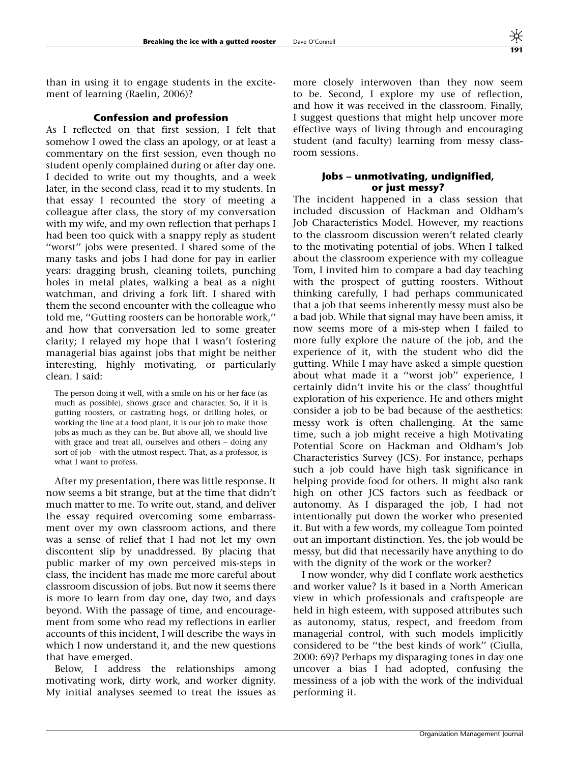than in using it to engage students in the excitement of learning (Raelin, 2006)?

## Confession and profession

As I reflected on that first session, I felt that somehow I owed the class an apology, or at least a commentary on the first session, even though no student openly complained during or after day one. I decided to write out my thoughts, and a week later, in the second class, read it to my students. In that essay I recounted the story of meeting a colleague after class, the story of my conversation with my wife, and my own reflection that perhaps I had been too quick with a snappy reply as student "worst" jobs were presented. I shared some of the many tasks and jobs I had done for pay in earlier years: dragging brush, cleaning toilets, punching holes in metal plates, walking a beat as a night watchman, and driving a fork lift. I shared with them the second encounter with the colleague who told me, ''Gutting roosters can be honorable work,'' and how that conversation led to some greater clarity; I relayed my hope that I wasn't fostering managerial bias against jobs that might be neither interesting, highly motivating, or particularly clean. I said:

The person doing it well, with a smile on his or her face (as much as possible), shows grace and character. So, if it is gutting roosters, or castrating hogs, or drilling holes, or working the line at a food plant, it is our job to make those jobs as much as they can be. But above all, we should live with grace and treat all, ourselves and others – doing any sort of job – with the utmost respect. That, as a professor, is what I want to profess.

After my presentation, there was little response. It now seems a bit strange, but at the time that didn't much matter to me. To write out, stand, and deliver the essay required overcoming some embarrassment over my own classroom actions, and there was a sense of relief that I had not let my own discontent slip by unaddressed. By placing that public marker of my own perceived mis-steps in class, the incident has made me more careful about classroom discussion of jobs. But now it seems there is more to learn from day one, day two, and days beyond. With the passage of time, and encouragement from some who read my reflections in earlier accounts of this incident, I will describe the ways in which I now understand it, and the new questions that have emerged.

Below, I address the relationships among motivating work, dirty work, and worker dignity. My initial analyses seemed to treat the issues as more closely interwoven than they now seem to be. Second, I explore my use of reflection, and how it was received in the classroom. Finally, I suggest questions that might help uncover more effective ways of living through and encouraging student (and faculty) learning from messy classroom sessions.

## Jobs – unmotivating, undignified, or just messy?

The incident happened in a class session that included discussion of Hackman and Oldham's Job Characteristics Model. However, my reactions to the classroom discussion weren't related clearly to the motivating potential of jobs. When I talked about the classroom experience with my colleague Tom, I invited him to compare a bad day teaching with the prospect of gutting roosters. Without thinking carefully, I had perhaps communicated that a job that seems inherently messy must also be a bad job. While that signal may have been amiss, it now seems more of a mis-step when I failed to more fully explore the nature of the job, and the experience of it, with the student who did the gutting. While I may have asked a simple question about what made it a ''worst job'' experience, I certainly didn't invite his or the class' thoughtful exploration of his experience. He and others might consider a job to be bad because of the aesthetics: messy work is often challenging. At the same time, such a job might receive a high Motivating Potential Score on Hackman and Oldham's Job Characteristics Survey (JCS). For instance, perhaps such a job could have high task significance in helping provide food for others. It might also rank high on other JCS factors such as feedback or autonomy. As I disparaged the job, I had not intentionally put down the worker who presented it. But with a few words, my colleague Tom pointed out an important distinction. Yes, the job would be messy, but did that necessarily have anything to do with the dignity of the work or the worker?

I now wonder, why did I conflate work aesthetics and worker value? Is it based in a North American view in which professionals and craftspeople are held in high esteem, with supposed attributes such as autonomy, status, respect, and freedom from managerial control, with such models implicitly considered to be ''the best kinds of work'' (Ciulla, 2000: 69)? Perhaps my disparaging tones in day one uncover a bias I had adopted, confusing the messiness of a job with the work of the individual performing it.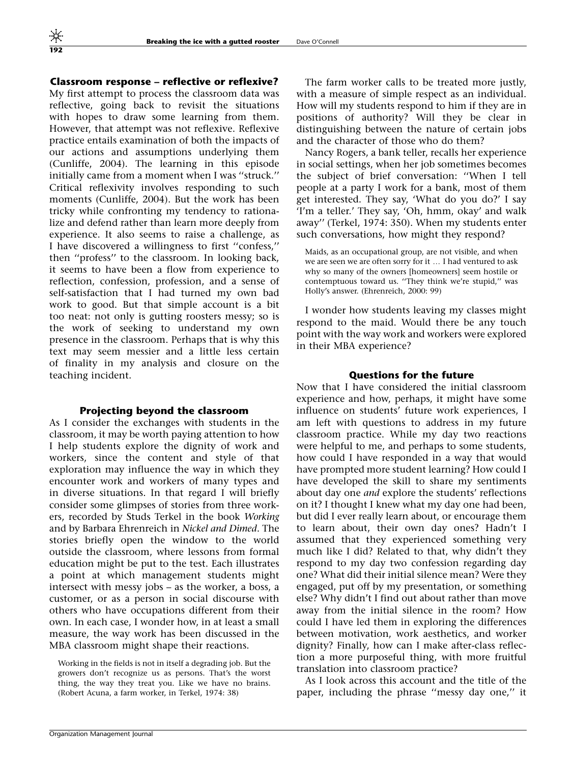My first attempt to process the classroom data was reflective, going back to revisit the situations with hopes to draw some learning from them. However, that attempt was not reflexive. Reflexive practice entails examination of both the impacts of our actions and assumptions underlying them (Cunliffe, 2004). The learning in this episode initially came from a moment when I was ''struck.'' Critical reflexivity involves responding to such moments (Cunliffe, 2004). But the work has been tricky while confronting my tendency to rationalize and defend rather than learn more deeply from experience. It also seems to raise a challenge, as I have discovered a willingness to first ''confess,'' then ''profess'' to the classroom. In looking back, it seems to have been a flow from experience to reflection, confession, profession, and a sense of self-satisfaction that I had turned my own bad work to good. But that simple account is a bit too neat: not only is gutting roosters messy; so is the work of seeking to understand my own presence in the classroom. Perhaps that is why this text may seem messier and a little less certain of finality in my analysis and closure on the teaching incident.

### Projecting beyond the classroom

As I consider the exchanges with students in the classroom, it may be worth paying attention to how I help students explore the dignity of work and workers, since the content and style of that exploration may influence the way in which they encounter work and workers of many types and in diverse situations. In that regard I will briefly consider some glimpses of stories from three workers, recorded by Studs Terkel in the book Working and by Barbara Ehrenreich in Nickel and Dimed. The stories briefly open the window to the world outside the classroom, where lessons from formal education might be put to the test. Each illustrates a point at which management students might intersect with messy jobs – as the worker, a boss, a customer, or as a person in social discourse with others who have occupations different from their own. In each case, I wonder how, in at least a small measure, the way work has been discussed in the MBA classroom might shape their reactions.

The farm worker calls to be treated more justly, with a measure of simple respect as an individual. How will my students respond to him if they are in positions of authority? Will they be clear in distinguishing between the nature of certain jobs and the character of those who do them?

Nancy Rogers, a bank teller, recalls her experience in social settings, when her job sometimes becomes the subject of brief conversation: ''When I tell people at a party I work for a bank, most of them get interested. They say, 'What do you do?' I say 'I'm a teller.' They say, 'Oh, hmm, okay' and walk away'' (Terkel, 1974: 350). When my students enter such conversations, how might they respond?

Maids, as an occupational group, are not visible, and when we are seen we are often sorry for it ... I had ventured to ask why so many of the owners [homeowners] seem hostile or contemptuous toward us. ''They think we're stupid,'' was Holly's answer. (Ehrenreich, 2000: 99)

I wonder how students leaving my classes might respond to the maid. Would there be any touch point with the way work and workers were explored in their MBA experience?

## Questions for the future

Now that I have considered the initial classroom experience and how, perhaps, it might have some influence on students' future work experiences, I am left with questions to address in my future classroom practice. While my day two reactions were helpful to me, and perhaps to some students, how could I have responded in a way that would have prompted more student learning? How could I have developed the skill to share my sentiments about day one and explore the students' reflections on it? I thought I knew what my day one had been, but did I ever really learn about, or encourage them to learn about, their own day ones? Hadn't I assumed that they experienced something very much like I did? Related to that, why didn't they respond to my day two confession regarding day one? What did their initial silence mean? Were they engaged, put off by my presentation, or something else? Why didn't I find out about rather than move away from the initial silence in the room? How could I have led them in exploring the differences between motivation, work aesthetics, and worker dignity? Finally, how can I make after-class reflection a more purposeful thing, with more fruitful translation into classroom practice?

As I look across this account and the title of the paper, including the phrase ''messy day one,'' it

Working in the fields is not in itself a degrading job. But the growers don't recognize us as persons. That's the worst thing, the way they treat you. Like we have no brains. (Robert Acuna, a farm worker, in Terkel, 1974: 38)